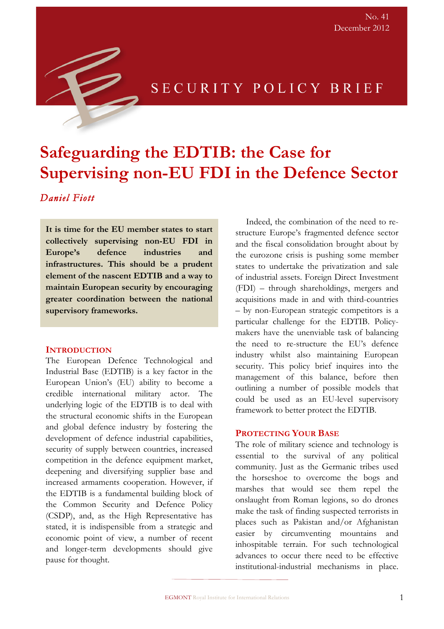

# SECURITY POLICY BRIEF

# **Safeguarding the EDTIB: the Case for Supervising non-EU FDI in the Defence Sector**

## *Daniel Fiott*

**It is time for the EU member states to start collectively supervising non-EU FDI in Europe's defence industries and infrastructures. This should be a prudent element of the nascent EDTIB and a way to maintain European security by encouraging greater coordination between the national supervisory frameworks.**

#### **INTRODUCTION**

The European Defence Technological and Industrial Base (EDTIB) is a key factor in the European Union's (EU) ability to become a credible international military actor. The underlying logic of the EDTIB is to deal with the structural economic shifts in the European and global defence industry by fostering the development of defence industrial capabilities, security of supply between countries, increased competition in the defence equipment market, deepening and diversifying supplier base and increased armaments cooperation. However, if the EDTIB is a fundamental building block of the Common Security and Defence Policy (CSDP), and, as the High Representative has stated, it is indispensible from a strategic and economic point of view, a number of recent and longer-term developments should give pause for thought.

Indeed, the combination of the need to restructure Europe's fragmented defence sector and the fiscal consolidation brought about by the eurozone crisis is pushing some member states to undertake the privatization and sale of industrial assets. Foreign Direct Investment (FDI) – through shareholdings, mergers and acquisitions made in and with third-countries – by non-European strategic competitors is a particular challenge for the EDTIB. Policymakers have the unenviable task of balancing the need to re-structure the EU's defence industry whilst also maintaining European security. This policy brief inquires into the management of this balance, before then outlining a number of possible models that could be used as an EU-level supervisory framework to better protect the EDTIB.

#### **PROTECTING YOUR BASE**

The role of military science and technology is essential to the survival of any political community. Just as the Germanic tribes used the horseshoe to overcome the bogs and marshes that would see them repel the onslaught from Roman legions, so do drones make the task of finding suspected terrorists in places such as Pakistan and/or Afghanistan easier by circumventing mountains and inhospitable terrain. For such technological advances to occur there need to be effective institutional-industrial mechanisms in place.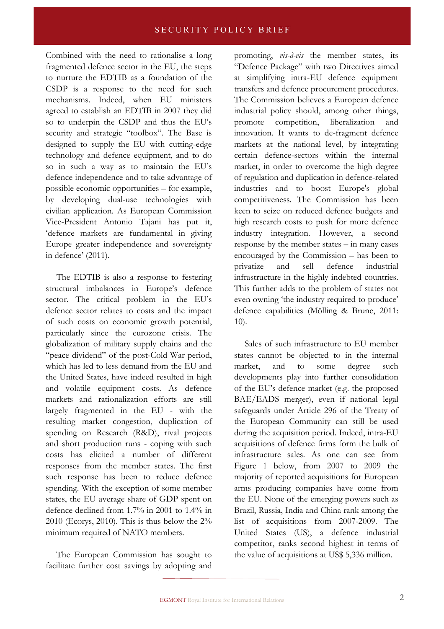Combined with the need to rationalise a long fragmented defence sector in the EU, the steps to nurture the EDTIB as a foundation of the CSDP is a response to the need for such mechanisms. Indeed, when EU ministers agreed to establish an EDTIB in 2007 they did so to underpin the CSDP and thus the EU's security and strategic "toolbox". The Base is designed to supply the EU with cutting-edge technology and defence equipment, and to do so in such a way as to maintain the EU's defence independence and to take advantage of possible economic opportunities – for example, by developing dual-use technologies with civilian application. As European Commission Vice-President Antonio Tajani has put it, 'defence markets are fundamental in giving Europe greater independence and sovereignty in defence' (2011).

The EDTIB is also a response to festering structural imbalances in Europe's defence sector. The critical problem in the EU's defence sector relates to costs and the impact of such costs on economic growth potential, particularly since the eurozone crisis. The globalization of military supply chains and the "peace dividend" of the post-Cold War period, which has led to less demand from the EU and the United States, have indeed resulted in high and volatile equipment costs. As defence markets and rationalization efforts are still largely fragmented in the EU - with the resulting market congestion, duplication of spending on Research (R&D), rival projects and short production runs - coping with such costs has elicited a number of different responses from the member states. The first such response has been to reduce defence spending. With the exception of some member states, the EU average share of GDP spent on defence declined from 1.7% in 2001 to 1.4% in 2010 (Ecorys, 2010). This is thus below the 2% minimum required of NATO members.

The European Commission has sought to facilitate further cost savings by adopting and promoting, *vis-à-vis* the member states, its "Defence Package" with two Directives aimed at simplifying intra-EU defence equipment transfers and defence procurement procedures. The Commission believes a European defence industrial policy should, among other things, promote competition, liberalization and innovation. It wants to de-fragment defence markets at the national level, by integrating certain defence-sectors within the internal market, in order to overcome the high degree of regulation and duplication in defence-related industries and to boost Europe's global competitiveness. The Commission has been keen to seize on reduced defence budgets and high research costs to push for more defence industry integration. However, a second response by the member states – in many cases encouraged by the Commission – has been to privatize and sell defence industrial infrastructure in the highly indebted countries. This further adds to the problem of states not even owning 'the industry required to produce' defence capabilities (Mölling & Brune, 2011: 10).

Sales of such infrastructure to EU member states cannot be objected to in the internal market, and to some degree such developments play into further consolidation of the EU's defence market (e.g. the proposed BAE/EADS merger), even if national legal safeguards under Article 296 of the Treaty of the European Community can still be used during the acquisition period. Indeed, intra-EU acquisitions of defence firms form the bulk of infrastructure sales. As one can see from Figure 1 below, from 2007 to 2009 the majority of reported acquisitions for European arms producing companies have come from the EU. None of the emerging powers such as Brazil, Russia, India and China rank among the list of acquisitions from 2007-2009. The United States (US), a defence industrial competitor, ranks second highest in terms of the value of acquisitions at US\$ 5,336 million.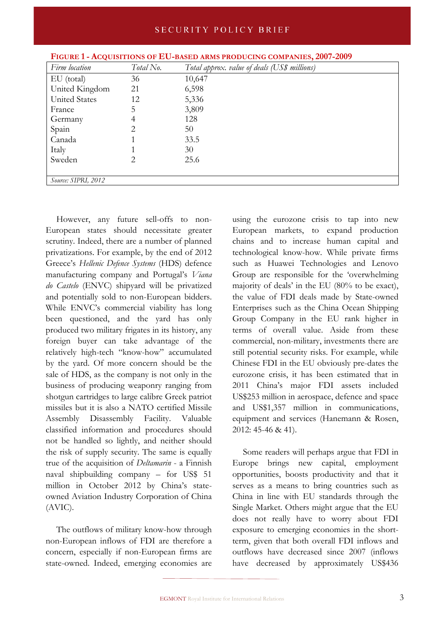| Firm location        | Total No. | Total approx. value of deals (US\$ millions) |
|----------------------|-----------|----------------------------------------------|
| EU (total)           | 36        | 10,647                                       |
| United Kingdom       | 21        | 6,598                                        |
| <b>United States</b> | 12        | 5,336                                        |
| France               | 5         | 3,809                                        |
| Germany              | 4         | 128                                          |
| Spain                | 2         | 50                                           |
| Canada               |           | 33.5                                         |
| Italy                |           | 30                                           |
| Sweden               | 2         | 25.6                                         |
|                      |           |                                              |
| Source: SIPRI, 2012  |           |                                              |

| FIGURE 1 - ACQUISITIONS OF EU-BASED ARMS PRODUCING COMPANIES, 2007-2009 |  |  |
|-------------------------------------------------------------------------|--|--|
|-------------------------------------------------------------------------|--|--|

However, any future sell-offs to non-European states should necessitate greater scrutiny. Indeed, there are a number of planned privatizations. For example, by the end of 2012 Greece's *Hellenic Defence Systems* (HDS) defence manufacturing company and Portugal's *Viana do Castelo* (ENVC) shipyard will be privatized and potentially sold to non-European bidders. While ENVC's commercial viability has long been questioned, and the yard has only produced two military frigates in its history, any foreign buyer can take advantage of the relatively high-tech "know-how" accumulated by the yard. Of more concern should be the sale of HDS, as the company is not only in the business of producing weaponry ranging from shotgun cartridges to large calibre Greek patriot missiles but it is also a NATO certified Missile Assembly Disassembly Facility. Valuable classified information and procedures should not be handled so lightly, and neither should the risk of supply security. The same is equally true of the acquisition of *Deltamarin* - a Finnish naval shipbuilding company – for US\$ 51 million in October 2012 by China's stateowned Aviation Industry Corporation of China (AVIC).

The outflows of military know-how through non-European inflows of FDI are therefore a concern, especially if non-European firms are state-owned. Indeed, emerging economies are using the eurozone crisis to tap into new European markets, to expand production chains and to increase human capital and technological know-how. While private firms such as Huawei Technologies and Lenovo Group are responsible for the 'overwhelming majority of deals' in the EU (80% to be exact), the value of FDI deals made by State-owned Enterprises such as the China Ocean Shipping Group Company in the EU rank higher in terms of overall value. Aside from these commercial, non-military, investments there are still potential security risks. For example, while Chinese FDI in the EU obviously pre-dates the eurozone crisis, it has been estimated that in 2011 China's major FDI assets included US\$253 million in aerospace, defence and space and US\$1,357 million in communications, equipment and services (Hanemann & Rosen, 2012: 45-46 & 41).

Some readers will perhaps argue that FDI in Europe brings new capital, employment opportunities, boosts productivity and that it serves as a means to bring countries such as China in line with EU standards through the Single Market. Others might argue that the EU does not really have to worry about FDI exposure to emerging economies in the shortterm, given that both overall FDI inflows and outflows have decreased since 2007 (inflows have decreased by approximately US\$436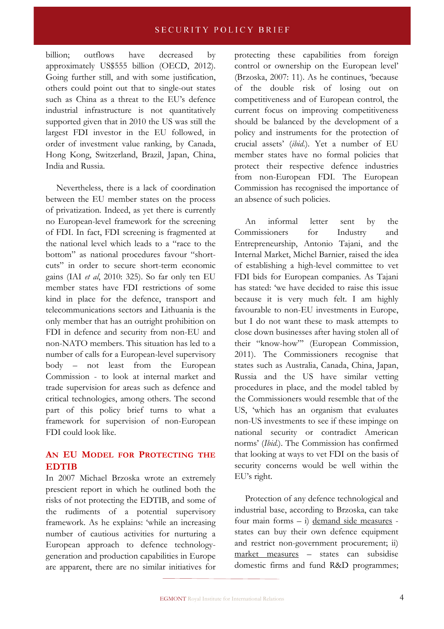#### SECURITY POLICY BRIEF

billion; outflows have decreased by approximately US\$555 billion (OECD, 2012). Going further still, and with some justification, others could point out that to single-out states such as China as a threat to the EU's defence industrial infrastructure is not quantitatively supported given that in 2010 the US was still the largest FDI investor in the EU followed, in order of investment value ranking, by Canada, Hong Kong, Switzerland, Brazil, Japan, China, India and Russia.

Nevertheless, there is a lack of coordination between the EU member states on the process of privatization. Indeed, as yet there is currently no European-level framework for the screening of FDI. In fact, FDI screening is fragmented at the national level which leads to a "race to the bottom" as national procedures favour "shortcuts" in order to secure short-term economic gains (IAI *et al*, 2010: 325). So far only ten EU member states have FDI restrictions of some kind in place for the defence, transport and telecommunications sectors and Lithuania is the only member that has an outright prohibition on FDI in defence and security from non-EU and non-NATO members. This situation has led to a number of calls for a European-level supervisory body – not least from the European Commission - to look at internal market and trade supervision for areas such as defence and critical technologies, among others. The second part of this policy brief turns to what a framework for supervision of non-European FDI could look like.

### **AN EU MODEL FOR PROTECTING THE EDTIB**

In 2007 Michael Brzoska wrote an extremely prescient report in which he outlined both the risks of not protecting the EDTIB, and some of the rudiments of a potential supervisory framework. As he explains: 'while an increasing number of cautious activities for nurturing a European approach to defence technologygeneration and production capabilities in Europe are apparent, there are no similar initiatives for

protecting these capabilities from foreign control or ownership on the European level' (Brzoska, 2007: 11). As he continues, 'because of the double risk of losing out on competitiveness and of European control, the current focus on improving competitiveness should be balanced by the development of a policy and instruments for the protection of crucial assets' (*ibid*.). Yet a number of EU member states have no formal policies that protect their respective defence industries from non-European FDI. The European Commission has recognised the importance of an absence of such policies.

An informal letter sent by the Commissioners for Industry and Entrepreneurship, Antonio Tajani, and the Internal Market, Michel Barnier, raised the idea of establishing a high-level committee to vet FDI bids for European companies. As Tajani has stated: 'we have decided to raise this issue because it is very much felt. I am highly favourable to non-EU investments in Europe, but I do not want these to mask attempts to close down businesses after having stolen all of their "know-how"' (European Commission, 2011). The Commissioners recognise that states such as Australia, Canada, China, Japan, Russia and the US have similar vetting procedures in place, and the model tabled by the Commissioners would resemble that of the US, 'which has an organism that evaluates non-US investments to see if these impinge on national security or contradict American norms' (*Ibid*.). The Commission has confirmed that looking at ways to vet FDI on the basis of security concerns would be well within the EU's right.

Protection of any defence technological and industrial base, according to Brzoska, can take four main forms – i) demand side measures states can buy their own defence equipment and restrict non-government procurement; ii) market measures – states can subsidise domestic firms and fund R&D programmes;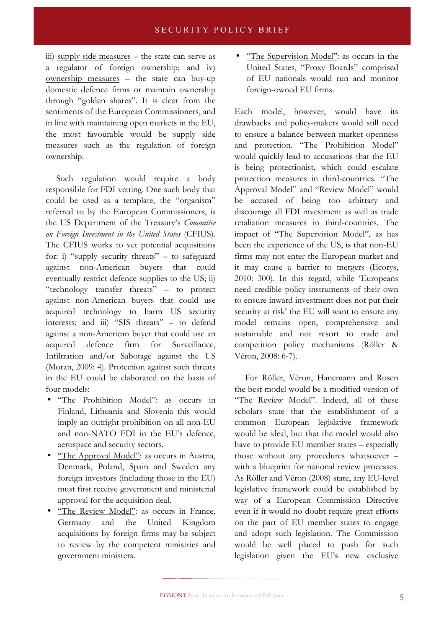iii) supply side measures – the state can serve as a regulator of foreign ownership; and iv) ownership measures – the state can buy-up domestic defence firms or maintain ownership through "golden shares". It is clear from the sentiments of the European Commissioners, and in line with maintaining open markets in the EU, the most favourable would be supply side measures such as the regulation of foreign ownership.

Such regulation would require a body responsible for FDI vetting. One such body that could be used as a template, the "organism" referred to by the European Commissioners, is the US Department of the Treasury's *Committee on Foreign Investment in the United States* (CFIUS). The CFIUS works to vet potential acquisitions for: i) "supply security threats" – to safeguard against non-American buyers that could eventually restrict defence supplies to the US; ii) "technology transfer threats" – to protect against non-American buyers that could use acquired technology to harm US security interests; and iii) "SIS threats" – to defend against a non-American buyer that could use an acquired defence firm for Surveillance, Infiltration and/or Sabotage against the US (Moran, 2009: 4). Protection against such threats in the EU could be elaborated on the basis of four models:

- "The Prohibition Model": as occurs in Finland, Lithuania and Slovenia this would imply an outright prohibition on all non-EU and non-NATO FDI in the EU's defence, aerospace and security sectors.
- <u>"The Approval Model"</u>: as occurs in Austria, Denmark, Poland, Spain and Sweden any foreign investors (including those in the EU) must first receive government and ministerial approval for the acquisition deal.
- "The Review Model": as occurs in France, Germany and the United Kingdom acquisitions by foreign firms may be subject to review by the competent ministries and government ministers.

• "The Supervision Model": as occurs in the United States, "Proxy Boards" comprised of EU nationals would run and monitor foreign-owned EU firms.

Each model, however, would have its drawbacks and policy-makers would still need to ensure a balance between market openness and protection. "The Prohibition Model" would quickly lead to accusations that the EU is being protectionist, which could escalate protection measures in third-countries. "The Approval Model" and "Review Model" would be accused of being too arbitrary and discourage all FDI investment as well as trade retaliation measures in third-countries. The impact of "The Supervision Model", as has been the experience of the US, is that non-EU firms may not enter the European market and it may cause a barrier to mergers (Ecorys, 2010: 300). In this regard, while 'Europeans need credible policy instruments of their own to ensure inward investment does not put their security at risk' the EU will want to ensure any model remains open, comprehensive and sustainable and not resort to trade and competition policy mechanisms (Röller & Véron, 2008: 6-7).

For Röller, Véron, Hanemann and Rosen the best model would be a modified version of "The Review Model". Indeed, all of these scholars state that the establishment of a common European legislative framework would be ideal, but that the model would also have to provide EU member states – especially those without any procedures whatsoever – with a blueprint for national review processes. As Röller and Véron (2008) state, any EU-level legislative framework could be established by way of a European Commission Directive even if it would no doubt require great efforts on the part of EU member states to engage and adopt such legislation. The Commission would be well placed to push for such legislation given the EU's new exclusive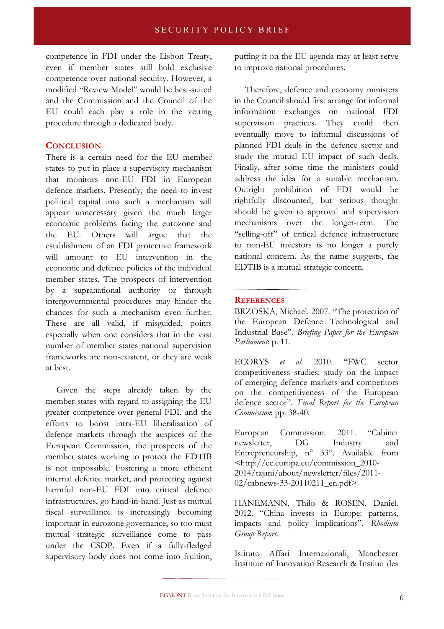competence in FDI under the Lisbon Treaty, even if member states still hold exclusive competence over national security. However, a modified "Review Model" would be best-suited and the Commission and the Council of the EU could each play a role in the vetting procedure through a dedicated body.

#### **CONCLUSION**

There is a certain need for the EU member states to put in place a supervisory mechanism that monitors non-EU FDI in European defence markets. Presently, the need to invest political capital into such a mechanism will appear unnecessary given the much larger economic problems facing the eurozone and the EU. Others will argue that the establishment of an FDI protective framework will amount to EU intervention in the economic and defence policies of the individual member states. The prospects of intervention by a supranational authority or through intergovernmental procedures may hinder the chances for such a mechanism even further. These are all valid, if misguided, points especially when one considers that in the vast number of member states national supervision frameworks are non-existent, or they are weak at best.

Given the steps already taken by the member states with regard to assigning the EU greater competence over general FDI, and the efforts to boost intra-EU liberalisation of defence markets through the auspices of the European Commission, the prospects of the member states working to protect the EDTIB is not impossible. Fostering a more efficient internal defence market, and protecting against harmful non-EU FDI into critical defence infrastructures, go hand-in-hand. Just as mutual fiscal surveillance is increasingly becoming important in eurozone governance, so too must mutual strategic surveillance come to pass under the CSDP. Even if a fully-fledged supervisory body does not come into fruition,

putting it on the EU agenda may at least serve to improve national procedures.

Therefore, defence and economy ministers in the Council should first arrange for informal information exchanges on national FDI supervision practices. They could then eventually move to informal discussions of planned FDI deals in the defence sector and study the mutual EU impact of such deals. Finally, after some time the ministers could address the idea for a suitable mechanism. Outright prohibition of FDI would be rightfully discounted, but serious thought should be given to approval and supervision mechanisms over the longer-term. The "selling-off" of critical defence infrastructure to non-EU investors is no longer a purely national concern. As the name suggests, the EDTIB is a mutual strategic concern.

#### **REFERENCES**

BRZOSKA, Michael. 2007. "The protection of the European Defence Technological and Industrial Base". *Briefing Paper for the European Parliament*: p. 11.

ECORYS *et al*. 2010. "FWC sector competitiveness studies: study on the impact of emerging defence markets and competitors on the competitiveness of the European defence sector". *Final Report for the European Commission*: pp. 38-40.

European Commission. 2011. "Cabinet newsletter, DG Industry and Entrepreneurship, n° 33". Available from <http://ec.europa.eu/commission\_2010- 2014/tajani/about/newsletter/files/2011- 02/cabnews-33-20110211\_en.pdf>

HANEMANN, Thilo & ROSEN, Daniel. 2012. "China invests in Europe: patterns, impacts and policy implications". *Rhodium Group Report*.

Istituto Affari Internazionali, Manchester Institute of Innovation Research & Institut des